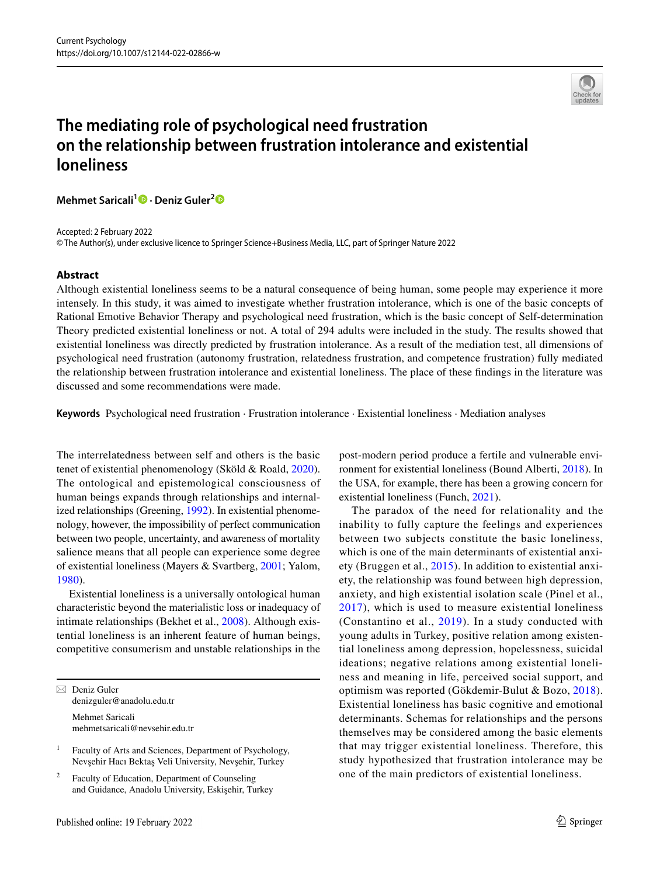

# **The mediating role of psychological need frustration on the relationship between frustration intolerance and existential loneliness**

**Mehmet Saricali1 · Deniz Guler[2](http://orcid.org/0000-0001-6006-5795)**

Accepted: 2 February 2022

© The Author(s), under exclusive licence to Springer Science+Business Media, LLC, part of Springer Nature 2022

#### **Abstract**

Although existential loneliness seems to be a natural consequence of being human, some people may experience it more intensely. In this study, it was aimed to investigate whether frustration intolerance, which is one of the basic concepts of Rational Emotive Behavior Therapy and psychological need frustration, which is the basic concept of Self-determination Theory predicted existential loneliness or not. A total of 294 adults were included in the study. The results showed that existential loneliness was directly predicted by frustration intolerance. As a result of the mediation test, all dimensions of psychological need frustration (autonomy frustration, relatedness frustration, and competence frustration) fully mediated the relationship between frustration intolerance and existential loneliness. The place of these fndings in the literature was discussed and some recommendations were made.

**Keywords** Psychological need frustration · Frustration intolerance · Existential loneliness · Mediation analyses

The interrelatedness between self and others is the basic tenet of existential phenomenology (Sköld & Roald, [2020](#page-7-0)). The ontological and epistemological consciousness of human beings expands through relationships and internalized relationships (Greening, [1992\)](#page-7-1). In existential phenomenology, however, the impossibility of perfect communication between two people, uncertainty, and awareness of mortality salience means that all people can experience some degree of existential loneliness (Mayers & Svartberg, [2001](#page-7-2); Yalom, [1980](#page-8-0)).

Existential loneliness is a universally ontological human characteristic beyond the materialistic loss or inadequacy of intimate relationships (Bekhet et al., [2008](#page-6-0)). Although existential loneliness is an inherent feature of human beings, competitive consumerism and unstable relationships in the

 $\boxtimes$  Deniz Guler denizguler@anadolu.edu.tr Mehmet Saricali mehmetsaricali@nevsehir.edu.tr

<sup>1</sup> Faculty of Arts and Sciences, Department of Psychology, Nevşehir Hacı Bektaş Veli University, Nevşehir, Turkey

Faculty of Education, Department of Counseling and Guidance, Anadolu University, Eskişehir, Turkey post-modern period produce a fertile and vulnerable environment for existential loneliness (Bound Alberti, [2018\)](#page-6-1). In the USA, for example, there has been a growing concern for existential loneliness (Funch, [2021](#page-6-2)).

The paradox of the need for relationality and the inability to fully capture the feelings and experiences between two subjects constitute the basic loneliness, which is one of the main determinants of existential anxiety (Bruggen et al., [2015\)](#page-6-3). In addition to existential anxiety, the relationship was found between high depression, anxiety, and high existential isolation scale (Pinel et al., [2017\)](#page-7-3), which is used to measure existential loneliness (Constantino et al., [2019\)](#page-6-4). In a study conducted with young adults in Turkey, positive relation among existential loneliness among depression, hopelessness, suicidal ideations; negative relations among existential loneliness and meaning in life, perceived social support, and optimism was reported (Gökdemir-Bulut & Bozo, [2018](#page-6-5)). Existential loneliness has basic cognitive and emotional determinants. Schemas for relationships and the persons themselves may be considered among the basic elements that may trigger existential loneliness. Therefore, this study hypothesized that frustration intolerance may be one of the main predictors of existential loneliness.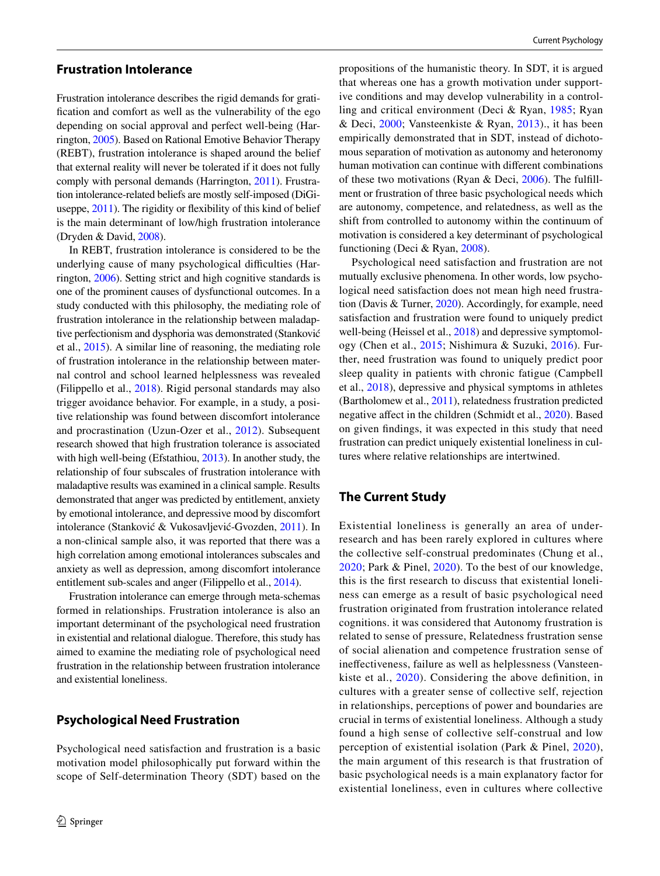## **Frustration Intolerance**

Frustration intolerance describes the rigid demands for gratifcation and comfort as well as the vulnerability of the ego depending on social approval and perfect well-being (Harrington, [2005](#page-7-4)). Based on Rational Emotive Behavior Therapy (REBT), frustration intolerance is shaped around the belief that external reality will never be tolerated if it does not fully comply with personal demands (Harrington, [2011](#page-7-5)). Frustration intolerance-related beliefs are mostly self-imposed (DiGiuseppe, [2011\)](#page-6-6). The rigidity or fexibility of this kind of belief is the main determinant of low/high frustration intolerance (Dryden & David, [2008](#page-6-7)).

In REBT, frustration intolerance is considered to be the underlying cause of many psychological difficulties (Harrington, [2006\)](#page-7-6). Setting strict and high cognitive standards is one of the prominent causes of dysfunctional outcomes. In a study conducted with this philosophy, the mediating role of frustration intolerance in the relationship between maladaptive perfectionism and dysphoria was demonstrated (Stanković et al., [2015](#page-7-7)). A similar line of reasoning, the mediating role of frustration intolerance in the relationship between maternal control and school learned helplessness was revealed (Filippello et al., [2018\)](#page-6-8). Rigid personal standards may also trigger avoidance behavior. For example, in a study, a positive relationship was found between discomfort intolerance and procrastination (Uzun-Ozer et al., [2012\)](#page-7-8). Subsequent research showed that high frustration tolerance is associated with high well-being (Efstathiou, [2013\)](#page-6-9). In another study, the relationship of four subscales of frustration intolerance with maladaptive results was examined in a clinical sample. Results demonstrated that anger was predicted by entitlement, anxiety by emotional intolerance, and depressive mood by discomfort intolerance (Stanković & Vukosavljević-Gvozden, [2011](#page-7-9)). In a non-clinical sample also, it was reported that there was a high correlation among emotional intolerances subscales and anxiety as well as depression, among discomfort intolerance entitlement sub-scales and anger (Filippello et al., [2014\)](#page-6-10).

Frustration intolerance can emerge through meta-schemas formed in relationships. Frustration intolerance is also an important determinant of the psychological need frustration in existential and relational dialogue. Therefore, this study has aimed to examine the mediating role of psychological need frustration in the relationship between frustration intolerance and existential loneliness.

## **Psychological Need Frustration**

Psychological need satisfaction and frustration is a basic motivation model philosophically put forward within the scope of Self-determination Theory (SDT) based on the

propositions of the humanistic theory. In SDT, it is argued that whereas one has a growth motivation under supportive conditions and may develop vulnerability in a controlling and critical environment (Deci & Ryan, [1985;](#page-6-11) Ryan & Deci, [2000;](#page-7-10) Vansteenkiste & Ryan, [2013](#page-7-11))., it has been empirically demonstrated that in SDT, instead of dichotomous separation of motivation as autonomy and heteronomy human motivation can continue with diferent combinations of these two motivations (Ryan & Deci, [2006](#page-7-12)). The fulfllment or frustration of three basic psychological needs which are autonomy, competence, and relatedness, as well as the shift from controlled to autonomy within the continuum of motivation is considered a key determinant of psychological functioning (Deci & Ryan, [2008](#page-6-12)).

Psychological need satisfaction and frustration are not mutually exclusive phenomena. In other words, low psychological need satisfaction does not mean high need frustration (Davis & Turner, [2020](#page-6-13)). Accordingly, for example, need satisfaction and frustration were found to uniquely predict well-being (Heissel et al., [2018\)](#page-7-13) and depressive symptomology (Chen et al., [2015;](#page-6-14) Nishimura & Suzuki, [2016\)](#page-7-14). Further, need frustration was found to uniquely predict poor sleep quality in patients with chronic fatigue (Campbell et al., [2018](#page-6-15)), depressive and physical symptoms in athletes (Bartholomew et al., [2011](#page-6-16)), relatedness frustration predicted negative afect in the children (Schmidt et al., [2020](#page-7-15)). Based on given fndings, it was expected in this study that need frustration can predict uniquely existential loneliness in cultures where relative relationships are intertwined.

# **The Current Study**

Existential loneliness is generally an area of underresearch and has been rarely explored in cultures where the collective self-construal predominates (Chung et al., [2020;](#page-6-17) Park & Pinel, [2020\)](#page-7-16). To the best of our knowledge, this is the frst research to discuss that existential loneliness can emerge as a result of basic psychological need frustration originated from frustration intolerance related cognitions. it was considered that Autonomy frustration is related to sense of pressure, Relatedness frustration sense of social alienation and competence frustration sense of inefectiveness, failure as well as helplessness (Vansteenkiste et al., [2020\)](#page-8-1). Considering the above defnition, in cultures with a greater sense of collective self, rejection in relationships, perceptions of power and boundaries are crucial in terms of existential loneliness. Although a study found a high sense of collective self-construal and low perception of existential isolation (Park & Pinel, [2020](#page-7-16)), the main argument of this research is that frustration of basic psychological needs is a main explanatory factor for existential loneliness, even in cultures where collective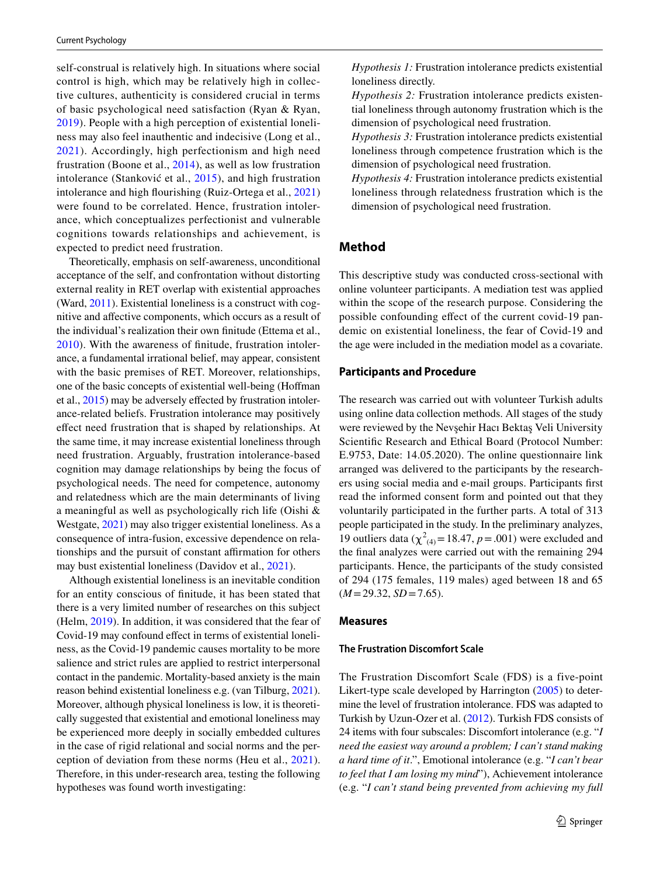self-construal is relatively high. In situations where social control is high, which may be relatively high in collective cultures, authenticity is considered crucial in terms of basic psychological need satisfaction (Ryan & Ryan, [2019\)](#page-7-17). People with a high perception of existential loneliness may also feel inauthentic and indecisive (Long et al., [2021](#page-7-18)). Accordingly, high perfectionism and high need frustration (Boone et al., [2014](#page-6-18)), as well as low frustration intolerance (Stanković et al., [2015](#page-7-7)), and high frustration intolerance and high fourishing (Ruiz-Ortega et al., [2021\)](#page-7-19) were found to be correlated. Hence, frustration intolerance, which conceptualizes perfectionist and vulnerable cognitions towards relationships and achievement, is expected to predict need frustration.

Theoretically, emphasis on self-awareness, unconditional acceptance of the self, and confrontation without distorting external reality in RET overlap with existential approaches (Ward, [2011\)](#page-8-2). Existential loneliness is a construct with cognitive and afective components, which occurs as a result of the individual's realization their own fnitude (Ettema et al., [2010\)](#page-6-19). With the awareness of fnitude, frustration intolerance, a fundamental irrational belief, may appear, consistent with the basic premises of RET. Moreover, relationships, one of the basic concepts of existential well-being (Hofman et al., [2015\)](#page-7-20) may be adversely efected by frustration intolerance-related beliefs. Frustration intolerance may positively efect need frustration that is shaped by relationships. At the same time, it may increase existential loneliness through need frustration. Arguably, frustration intolerance-based cognition may damage relationships by being the focus of psychological needs. The need for competence, autonomy and relatedness which are the main determinants of living a meaningful as well as psychologically rich life (Oishi & Westgate, [2021](#page-7-21)) may also trigger existential loneliness. As a consequence of intra-fusion, excessive dependence on relationships and the pursuit of constant afrmation for others may bust existential loneliness (Davidov et al., [2021](#page-6-20)).

Although existential loneliness is an inevitable condition for an entity conscious of fnitude, it has been stated that there is a very limited number of researches on this subject (Helm, [2019\)](#page-7-22). In addition, it was considered that the fear of Covid-19 may confound efect in terms of existential loneliness, as the Covid-19 pandemic causes mortality to be more salience and strict rules are applied to restrict interpersonal contact in the pandemic. Mortality-based anxiety is the main reason behind existential loneliness e.g. (van Tilburg, [2021](#page-7-23)). Moreover, although physical loneliness is low, it is theoretically suggested that existential and emotional loneliness may be experienced more deeply in socially embedded cultures in the case of rigid relational and social norms and the perception of deviation from these norms (Heu et al., [2021](#page-7-24)). Therefore, in this under-research area, testing the following hypotheses was found worth investigating:

*Hypothesis 1:* Frustration intolerance predicts existential loneliness directly.

*Hypothesis 2:* Frustration intolerance predicts existential loneliness through autonomy frustration which is the dimension of psychological need frustration.

*Hypothesis 3:* Frustration intolerance predicts existential loneliness through competence frustration which is the dimension of psychological need frustration.

*Hypothesis 4:* Frustration intolerance predicts existential loneliness through relatedness frustration which is the dimension of psychological need frustration.

# **Method**

This descriptive study was conducted cross-sectional with online volunteer participants. A mediation test was applied within the scope of the research purpose. Considering the possible confounding efect of the current covid-19 pandemic on existential loneliness, the fear of Covid-19 and the age were included in the mediation model as a covariate.

#### **Participants and Procedure**

The research was carried out with volunteer Turkish adults using online data collection methods. All stages of the study were reviewed by the Nevşehir Hacı Bektaş Veli University Scientifc Research and Ethical Board (Protocol Number: E.9753, Date: 14.05.2020). The online questionnaire link arranged was delivered to the participants by the researchers using social media and e-mail groups. Participants frst read the informed consent form and pointed out that they voluntarily participated in the further parts. A total of 313 people participated in the study. In the preliminary analyzes, 19 outliers data ( $\chi^2_{(4)}$  = 18.47, *p* = .001) were excluded and the fnal analyzes were carried out with the remaining 294 participants. Hence, the participants of the study consisted of 294 (175 females, 119 males) aged between 18 and 65 (*M*=29.32, *SD*=7.65).

#### **Measures**

#### **The Frustration Discomfort Scale**

The Frustration Discomfort Scale (FDS) is a five-point Likert-type scale developed by Harrington [\(2005\)](#page-7-4) to determine the level of frustration intolerance. FDS was adapted to Turkish by Uzun-Ozer et al. [\(2012](#page-7-8)). Turkish FDS consists of 24 items with four subscales: Discomfort intolerance (e.g. "*I need the easiest way around a problem; I can't stand making a hard time of it*.", Emotional intolerance (e.g. "*I can't bear to feel that I am losing my mind*"), Achievement intolerance (e.g. "*I can't stand being prevented from achieving my full*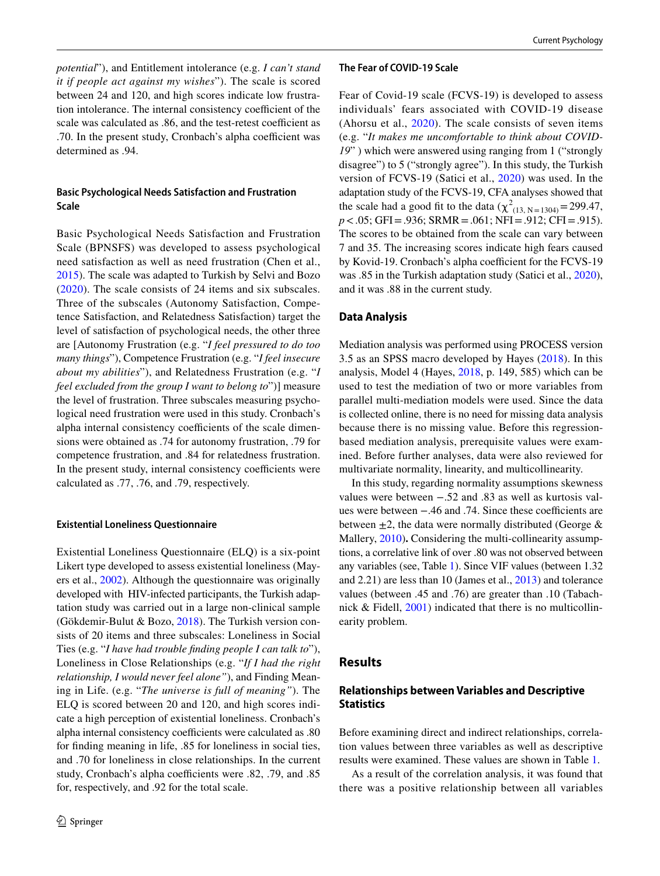*potential*"), and Entitlement intolerance (e.g. *I can't stand it if people act against my wishes*"). The scale is scored between 24 and 120, and high scores indicate low frustration intolerance. The internal consistency coefficient of the scale was calculated as .86, and the test-retest coefficient as .70. In the present study, Cronbach's alpha coefficient was determined as .94.

## **Basic Psychological Needs Satisfaction and Frustration Scale**

Basic Psychological Needs Satisfaction and Frustration Scale (BPNSFS) was developed to assess psychological need satisfaction as well as need frustration (Chen et al., [2015](#page-6-14)). The scale was adapted to Turkish by Selvi and Bozo ([2020](#page-7-25)). The scale consists of 24 items and six subscales. Three of the subscales (Autonomy Satisfaction, Competence Satisfaction, and Relatedness Satisfaction) target the level of satisfaction of psychological needs, the other three are [Autonomy Frustration (e.g. "*I feel pressured to do too many things*"), Competence Frustration (e.g. "*I feel insecure about my abilities*"), and Relatedness Frustration (e.g. "*I feel excluded from the group I want to belong to*")] measure the level of frustration. Three subscales measuring psychological need frustration were used in this study. Cronbach's alpha internal consistency coefficients of the scale dimensions were obtained as .74 for autonomy frustration, .79 for competence frustration, and .84 for relatedness frustration. In the present study, internal consistency coefficients were calculated as .77, .76, and .79, respectively.

#### **Existential Loneliness Questionnaire**

Existential Loneliness Questionnaire (ELQ) is a six-point Likert type developed to assess existential loneliness (Mayers et al., [2002](#page-7-26)). Although the questionnaire was originally developed with HIV-infected participants, the Turkish adaptation study was carried out in a large non-clinical sample (Gökdemir-Bulut & Bozo, [2018\)](#page-6-5). The Turkish version consists of 20 items and three subscales: Loneliness in Social Ties (e.g. "*I have had trouble fnding people I can talk to*"), Loneliness in Close Relationships (e.g. "*If I had the right relationship, I would never feel alone"*), and Finding Meaning in Life. (e.g. "*The universe is full of meaning"*). The ELQ is scored between 20 and 120, and high scores indicate a high perception of existential loneliness. Cronbach's alpha internal consistency coefficients were calculated as  $.80$ for fnding meaning in life, .85 for loneliness in social ties, and .70 for loneliness in close relationships. In the current study, Cronbach's alpha coefficients were .82, .79, and .85 for, respectively, and .92 for the total scale.

#### **The Fear of COVID‑19 Scale**

Fear of Covid-19 scale (FCVS-19) is developed to assess individuals' fears associated with COVID-19 disease (Ahorsu et al., [2020](#page-6-21)). The scale consists of seven items (e.g. "*It makes me uncomfortable to think about COVID-19*" ) which were answered using ranging from 1 ("strongly disagree") to 5 ("strongly agree"). In this study, the Turkish version of FCVS-19 (Satici et al., [2020](#page-7-27)) was used. In the adaptation study of the FCVS-19, CFA analyses showed that the scale had a good fit to the data  $(\chi^2_{(13, N=1304)} = 299.47,$ *p* <.05; GFI = .936; SRMR = .061; NFI = .912; CFI = .915). The scores to be obtained from the scale can vary between 7 and 35. The increasing scores indicate high fears caused by Kovid-19. Cronbach's alpha coefficient for the FCVS-19 was .85 in the Turkish adaptation study (Satici et al., [2020](#page-7-27)), and it was .88 in the current study.

#### **Data Analysis**

Mediation analysis was performed using PROCESS version 3.5 as an SPSS macro developed by Hayes ([2018\)](#page-7-28). In this analysis, Model 4 (Hayes, [2018,](#page-8-0) p. 149, 585) which can be used to test the mediation of two or more variables from parallel multi-mediation models were used. Since the data is collected online, there is no need for missing data analysis because there is no missing value. Before this regressionbased mediation analysis, prerequisite values were examined. Before further analyses, data were also reviewed for multivariate normality, linearity, and multicollinearity.

In this study, regarding normality assumptions skewness values were between −.52 and .83 as well as kurtosis values were between −.46 and .74. Since these coefficients are between  $\pm 2$ , the data were normally distributed (George & Mallery, [2010\)](#page-6-22). Considering the multi-collinearity assumptions, a correlative link of over .80 was not observed between any variables (see, Table [1\)](#page-4-0). Since VIF values (between 1.32 and 2.21) are less than 10 (James et al., [2013\)](#page-7-29) and tolerance values (between .45 and .76) are greater than .10 (Tabachnick & Fidell, [2001](#page-7-30)) indicated that there is no multicollinearity problem.

## **Results**

# **Relationships between Variables and Descriptive Statistics**

Before examining direct and indirect relationships, correlation values between three variables as well as descriptive results were examined. These values are shown in Table [1](#page-4-0).

As a result of the correlation analysis, it was found that there was a positive relationship between all variables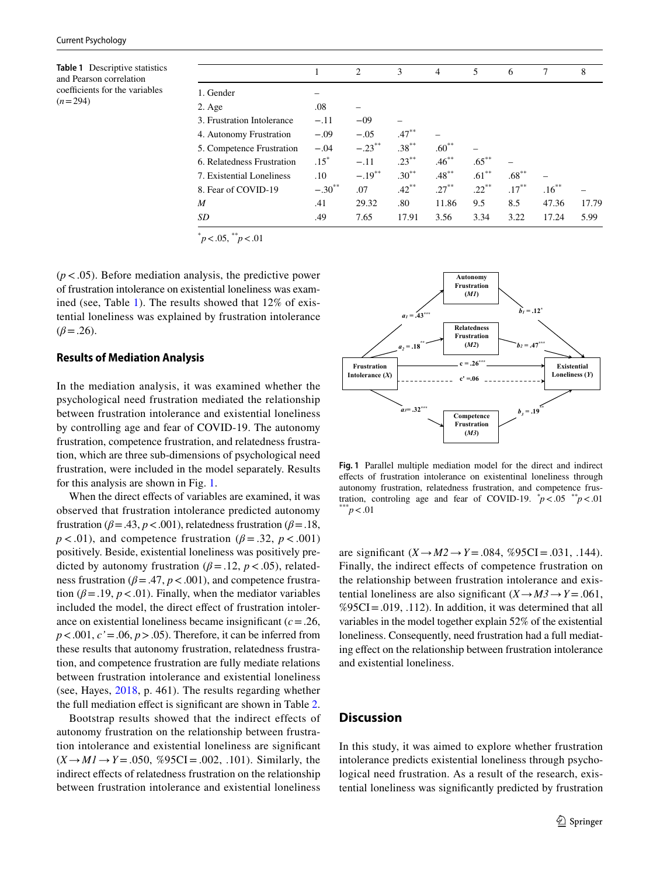<span id="page-4-0"></span>**Table 1** Descriptive statistics and Pearson correlation coefficients for the variables  $(n=294)$ 

|                            |             | 2         | 3        | $\overline{4}$ | 5        | 6        | 7        | 8     |  |
|----------------------------|-------------|-----------|----------|----------------|----------|----------|----------|-------|--|
| 1. Gender                  |             |           |          |                |          |          |          |       |  |
| 2. Age                     | .08         |           |          |                |          |          |          |       |  |
| 3. Frustration Intolerance | $-.11$      | $-09$     |          |                |          |          |          |       |  |
| 4. Autonomy Frustration    | $-.09$      | $-.05$    | $.47***$ |                |          |          |          |       |  |
| 5. Competence Frustration  | $-.04$      | $-.23***$ | $.38***$ | $.60***$       |          |          |          |       |  |
| 6. Relatedness Frustration | $.15*$      | $-.11$    | $.23***$ | $.46***$       | $.65***$ |          |          |       |  |
| 7. Existential Loneliness  | .10         | $-.19***$ | $.30***$ | $.48***$       | $.61***$ | $.68***$ |          |       |  |
| 8. Fear of COVID-19        | $-.30^{**}$ | .07       | $.42***$ | $.27***$       | $.22***$ | $.17***$ | $.16***$ |       |  |
| M                          | .41         | 29.32     | .80      | 11.86          | 9.5      | 8.5      | 47.36    | 17.79 |  |
| SD                         | .49         | 7.65      | 17.91    | 3.56           | 3.34     | 3.22     | 17.24    | 5.99  |  |
|                            |             |           |          |                |          |          |          |       |  |



(*p*<.05). Before mediation analysis, the predictive power of frustration intolerance on existential loneliness was examined (see, Table [1\)](#page-4-0). The results showed that 12% of existential loneliness was explained by frustration intolerance  $(\beta = .26)$ .

#### **Results of Mediation Analysis**

In the mediation analysis, it was examined whether the psychological need frustration mediated the relationship between frustration intolerance and existential loneliness by controlling age and fear of COVID-19. The autonomy frustration, competence frustration, and relatedness frustration, which are three sub-dimensions of psychological need frustration, were included in the model separately. Results for this analysis are shown in Fig. [1.](#page-4-1)

When the direct effects of variables are examined, it was observed that frustration intolerance predicted autonomy frustration ( $\beta$ =.43,  $p$ <.001), relatedness frustration ( $\beta$ =.18,  $p < .01$ ), and competence frustration ( $\beta = .32$ ,  $p < .001$ ) positively. Beside, existential loneliness was positively predicted by autonomy frustration ( $\beta$ =.12,  $p$  <.05), relatedness frustration ( $\beta$ =.47,  $p$  <.001), and competence frustration ( $\beta$ =.19,  $p$ <.01). Finally, when the mediator variables included the model, the direct effect of frustration intolerance on existential loneliness became insignifcant (*c*=.26, *p*<.001, *c'*=.06, *p*>.05). Therefore, it can be inferred from these results that autonomy frustration, relatedness frustration, and competence frustration are fully mediate relations between frustration intolerance and existential loneliness (see, Hayes, [2018](#page-8-0), p. 461). The results regarding whether the full mediation efect is signifcant are shown in Table [2.](#page-5-0)

Bootstrap results showed that the indirect effects of autonomy frustration on the relationship between frustration intolerance and existential loneliness are signifcant  $(X \to M1 \to Y = .050, %95CI = .002, .101)$ . Similarly, the indirect effects of relatedness frustration on the relationship between frustration intolerance and existential loneliness



<span id="page-4-1"></span>**Fig. 1** Parallel multiple mediation model for the direct and indirect efects of frustration intolerance on existentinal loneliness through autonomy frustration, relatedness frustration, and competence frustration, controling age and fear of COVID-19.  $\binom{*}{p}$  <.05  $\binom{*}{p}$  <.01  $\binom{***}{p}$  <.01

are signifcant (*X→M2→Y*=.084, %95CI=.031, .144). Finally, the indirect efects of competence frustration on the relationship between frustration intolerance and existential loneliness are also significant  $(X \rightarrow M3 \rightarrow Y = .061$ ,  $%95CI = .019, .112$ . In addition, it was determined that all variables in the model together explain 52% of the existential loneliness. Consequently, need frustration had a full mediating efect on the relationship between frustration intolerance and existential loneliness.

## **Discussion**

In this study, it was aimed to explore whether frustration intolerance predicts existential loneliness through psychological need frustration. As a result of the research, existential loneliness was signifcantly predicted by frustration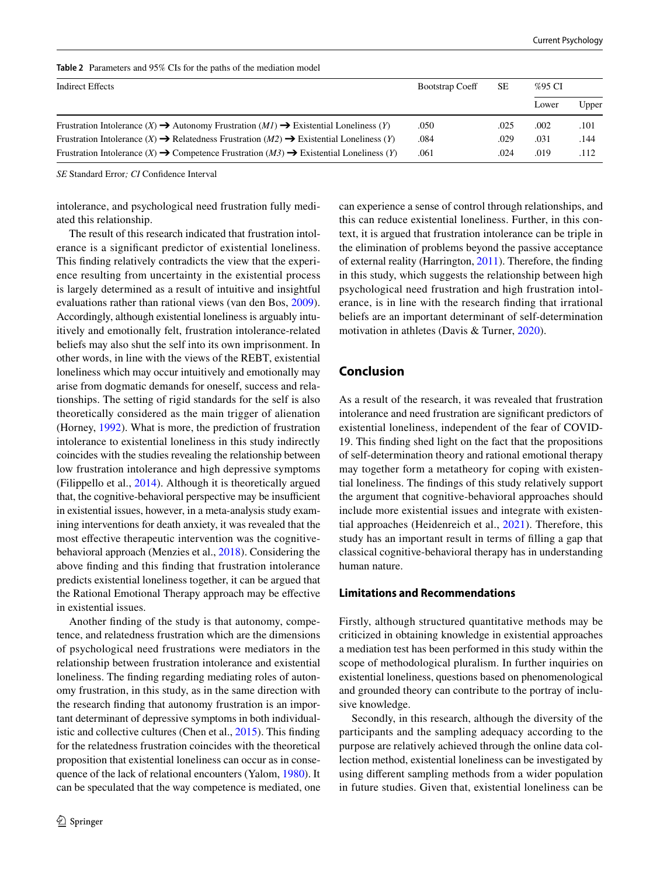<span id="page-5-0"></span>

| <b>Table 2</b> Parameters and 95% CIs for the paths of the mediation model |  |
|----------------------------------------------------------------------------|--|
|----------------------------------------------------------------------------|--|

| Indirect Effects                                                                                                  | <b>Bootstrap Coeff</b> | SЕ   | %95 CI |       |  |
|-------------------------------------------------------------------------------------------------------------------|------------------------|------|--------|-------|--|
|                                                                                                                   |                        |      | Lower  | Upper |  |
| Frustration Intolerance $(X) \rightarrow$ Autonomy Frustration $(MI) \rightarrow$ Existential Loneliness $(Y)$    | .050                   | .025 | .002   | .101  |  |
| Frustration Intolerance $(X) \rightarrow$ Relatedness Frustration $(M2) \rightarrow$ Existential Loneliness $(Y)$ | .084                   | .029 | .031   | .144  |  |
| Frustration Intolerance $(X) \rightarrow$ Competence Frustration $(M3) \rightarrow$ Existential Loneliness $(Y)$  | .061                   | .024 | .019   | .112  |  |

*SE* Standard Error*; CI* Confdence Interval

intolerance, and psychological need frustration fully mediated this relationship.

The result of this research indicated that frustration intolerance is a signifcant predictor of existential loneliness. This fnding relatively contradicts the view that the experience resulting from uncertainty in the existential process is largely determined as a result of intuitive and insightful evaluations rather than rational views (van den Bos, [2009](#page-7-31)). Accordingly, although existential loneliness is arguably intuitively and emotionally felt, frustration intolerance-related beliefs may also shut the self into its own imprisonment. In other words, in line with the views of the REBT, existential loneliness which may occur intuitively and emotionally may arise from dogmatic demands for oneself, success and relationships. The setting of rigid standards for the self is also theoretically considered as the main trigger of alienation (Horney, [1992](#page-7-32)). What is more, the prediction of frustration intolerance to existential loneliness in this study indirectly coincides with the studies revealing the relationship between low frustration intolerance and high depressive symptoms (Filippello et al., [2014\)](#page-6-10). Although it is theoretically argued that, the cognitive-behavioral perspective may be insufficient in existential issues, however, in a meta-analysis study examining interventions for death anxiety, it was revealed that the most efective therapeutic intervention was the cognitivebehavioral approach (Menzies et al., [2018](#page-7-33)). Considering the above fnding and this fnding that frustration intolerance predicts existential loneliness together, it can be argued that the Rational Emotional Therapy approach may be efective in existential issues.

Another fnding of the study is that autonomy, competence, and relatedness frustration which are the dimensions of psychological need frustrations were mediators in the relationship between frustration intolerance and existential loneliness. The fnding regarding mediating roles of autonomy frustration, in this study, as in the same direction with the research fnding that autonomy frustration is an important determinant of depressive symptoms in both individualistic and collective cultures (Chen et al., [2015](#page-6-14)). This fnding for the relatedness frustration coincides with the theoretical proposition that existential loneliness can occur as in consequence of the lack of relational encounters (Yalom, [1980\)](#page-8-0). It can be speculated that the way competence is mediated, one can experience a sense of control through relationships, and this can reduce existential loneliness. Further, in this context, it is argued that frustration intolerance can be triple in the elimination of problems beyond the passive acceptance of external reality (Harrington, [2011](#page-7-5)). Therefore, the fnding in this study, which suggests the relationship between high psychological need frustration and high frustration intolerance, is in line with the research fnding that irrational beliefs are an important determinant of self-determination motivation in athletes (Davis & Turner, [2020](#page-6-13)).

# **Conclusion**

As a result of the research, it was revealed that frustration intolerance and need frustration are signifcant predictors of existential loneliness, independent of the fear of COVID-19. This fnding shed light on the fact that the propositions of self-determination theory and rational emotional therapy may together form a metatheory for coping with existential loneliness. The fndings of this study relatively support the argument that cognitive-behavioral approaches should include more existential issues and integrate with existential approaches (Heidenreich et al., [2021](#page-7-34)). Therefore, this study has an important result in terms of flling a gap that classical cognitive-behavioral therapy has in understanding human nature.

### **Limitations and Recommendations**

Firstly, although structured quantitative methods may be criticized in obtaining knowledge in existential approaches a mediation test has been performed in this study within the scope of methodological pluralism. In further inquiries on existential loneliness, questions based on phenomenological and grounded theory can contribute to the portray of inclusive knowledge.

Secondly, in this research, although the diversity of the participants and the sampling adequacy according to the purpose are relatively achieved through the online data collection method, existential loneliness can be investigated by using diferent sampling methods from a wider population in future studies. Given that, existential loneliness can be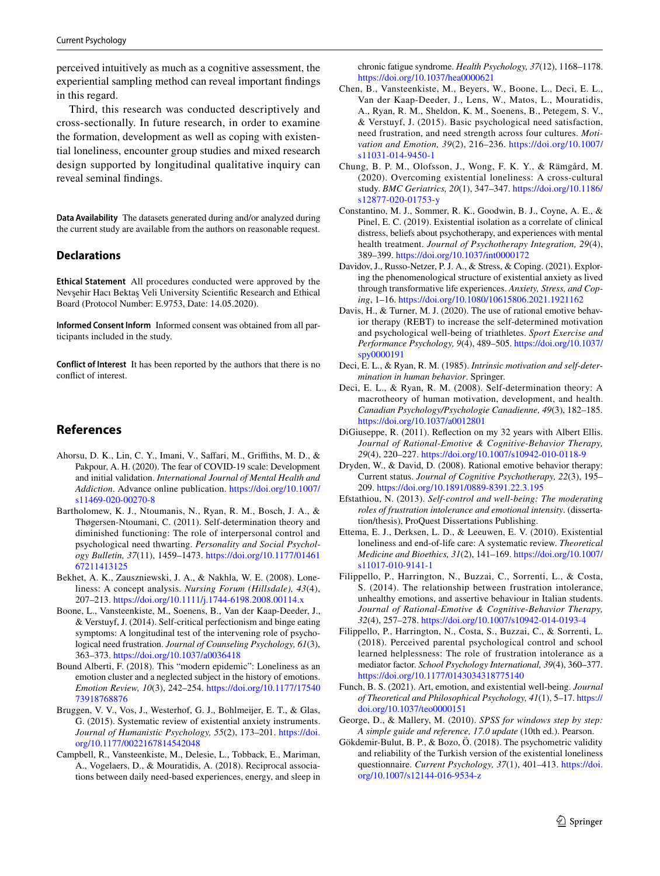perceived intuitively as much as a cognitive assessment, the experiential sampling method can reveal important fndings in this regard.

Third, this research was conducted descriptively and cross-sectionally. In future research, in order to examine the formation, development as well as coping with existential loneliness, encounter group studies and mixed research design supported by longitudinal qualitative inquiry can reveal seminal fndings.

**Data Availability** The datasets generated during and/or analyzed during the current study are available from the authors on reasonable request.

#### **Declarations**

**Ethical Statement** All procedures conducted were approved by the Nevşehir Hacı Bektaş Veli University Scientifc Research and Ethical Board (Protocol Number: E.9753, Date: 14.05.2020).

**Informed Consent Inform** Informed consent was obtained from all participants included in the study.

**Conflict of Interest** It has been reported by the authors that there is no confict of interest.

# **References**

- <span id="page-6-21"></span>Ahorsu, D. K., Lin, C. Y., Imani, V., Saffari, M., Griffiths, M. D., & Pakpour, A. H. (2020). The fear of COVID-19 scale: Development and initial validation. *International Journal of Mental Health and Addiction*. Advance online publication. [https://doi.org/10.1007/](https://doi.org/10.1007/s11469-020-00270-8) [s11469-020-00270-8](https://doi.org/10.1007/s11469-020-00270-8)
- <span id="page-6-16"></span>Bartholomew, K. J., Ntoumanis, N., Ryan, R. M., Bosch, J. A., & Thøgersen-Ntoumani, C. (2011). Self-determination theory and diminished functioning: The role of interpersonal control and psychological need thwarting. *Personality and Social Psychology Bulletin, 37*(11), 1459–1473. [https://doi.org/10.1177/01461](https://doi.org/10.1177/0146167211413125) [67211413125](https://doi.org/10.1177/0146167211413125)
- <span id="page-6-0"></span>Bekhet, A. K., Zauszniewski, J. A., & Nakhla, W. E. (2008). Loneliness: A concept analysis. *Nursing Forum (Hillsdale), 43*(4), 207–213.<https://doi.org/10.1111/j.1744-6198.2008.00114.x>
- <span id="page-6-18"></span>Boone, L., Vansteenkiste, M., Soenens, B., Van der Kaap-Deeder, J., & Verstuyf, J. (2014). Self-critical perfectionism and binge eating symptoms: A longitudinal test of the intervening role of psychological need frustration. *Journal of Counseling Psychology, 61*(3), 363–373.<https://doi.org/10.1037/a0036418>
- <span id="page-6-1"></span>Bound Alberti, F. (2018). This "modern epidemic": Loneliness as an emotion cluster and a neglected subject in the history of emotions. *Emotion Review, 10*(3), 242–254. [https://doi.org/10.1177/17540](https://doi.org/10.1177/1754073918768876) [73918768876](https://doi.org/10.1177/1754073918768876)
- <span id="page-6-3"></span>Bruggen, V. V., Vos, J., Westerhof, G. J., Bohlmeijer, E. T., & Glas, G. (2015). Systematic review of existential anxiety instruments. *Journal of Humanistic Psychology, 55*(2), 173–201. [https://doi.](https://doi.org/10.1177/0022167814542048) [org/10.1177/0022167814542048](https://doi.org/10.1177/0022167814542048)
- <span id="page-6-15"></span>Campbell, R., Vansteenkiste, M., Delesie, L., Tobback, E., Mariman, A., Vogelaers, D., & Mouratidis, A. (2018). Reciprocal associations between daily need-based experiences, energy, and sleep in

chronic fatigue syndrome. *Health Psychology, 37*(12), 1168–1178. <https://doi.org/10.1037/hea0000621>

- <span id="page-6-14"></span>Chen, B., Vansteenkiste, M., Beyers, W., Boone, L., Deci, E. L., Van der Kaap-Deeder, J., Lens, W., Matos, L., Mouratidis, A., Ryan, R. M., Sheldon, K. M., Soenens, B., Petegem, S. V., & Verstuyf, J. (2015). Basic psychological need satisfaction, need frustration, and need strength across four cultures. *Motivation and Emotion, 39*(2), 216–236. [https://doi.org/10.1007/](https://doi.org/10.1007/s11031-014-9450-1) [s11031-014-9450-1](https://doi.org/10.1007/s11031-014-9450-1)
- <span id="page-6-17"></span>Chung, B. P. M., Olofsson, J., Wong, F. K. Y., & Rämgård, M. (2020). Overcoming existential loneliness: A cross-cultural study. *BMC Geriatrics, 20*(1), 347–347. [https://doi.org/10.1186/](https://doi.org/10.1186/s12877-020-01753-y) [s12877-020-01753-y](https://doi.org/10.1186/s12877-020-01753-y)
- <span id="page-6-4"></span>Constantino, M. J., Sommer, R. K., Goodwin, B. J., Coyne, A. E., & Pinel, E. C. (2019). Existential isolation as a correlate of clinical distress, beliefs about psychotherapy, and experiences with mental health treatment. *Journal of Psychotherapy Integration, 29*(4), 389–399.<https://doi.org/10.1037/int0000172>
- <span id="page-6-20"></span>Davidov, J., Russo-Netzer, P. J. A., & Stress, & Coping. (2021). Exploring the phenomenological structure of existential anxiety as lived through transformative life experiences. *Anxiety, Stress, and Coping*, 1–16. <https://doi.org/10.1080/10615806.2021.1921162>
- <span id="page-6-13"></span>Davis, H., & Turner, M. J. (2020). The use of rational emotive behavior therapy (REBT) to increase the self-determined motivation and psychological well-being of triathletes. *Sport Exercise and Performance Psychology, 9*(4), 489–505. [https://doi.org/10.1037/](https://doi.org/10.1037/spy0000191) [spy0000191](https://doi.org/10.1037/spy0000191)
- <span id="page-6-11"></span>Deci, E. L., & Ryan, R. M. (1985). *Intrinsic motivation and self-determination in human behavior*. Springer.
- <span id="page-6-12"></span>Deci, E. L., & Ryan, R. M. (2008). Self-determination theory: A macrotheory of human motivation, development, and health. *Canadian Psychology/Psychologie Canadienne, 49*(3), 182–185. <https://doi.org/10.1037/a0012801>
- <span id="page-6-6"></span>DiGiuseppe, R. (2011). Refection on my 32 years with Albert Ellis. *Journal of Rational-Emotive & Cognitive-Behavior Therapy, 29*(4), 220–227.<https://doi.org/10.1007/s10942-010-0118-9>
- <span id="page-6-7"></span>Dryden, W., & David, D. (2008). Rational emotive behavior therapy: Current status. *Journal of Cognitive Psychotherapy, 22*(3), 195– 209.<https://doi.org/10.1891/0889-8391.22.3.195>
- <span id="page-6-9"></span>Efstathiou, N. (2013). *Self-control and well-being: The moderating roles of frustration intolerance and emotional intensity*. (dissertation/thesis), ProQuest Dissertations Publishing.
- <span id="page-6-19"></span>Ettema, E. J., Derksen, L. D., & Leeuwen, E. V. (2010). Existential loneliness and end-of-life care: A systematic review. *Theoretical Medicine and Bioethics, 31*(2), 141–169. [https://doi.org/10.1007/](https://doi.org/10.1007/s11017-010-9141-1) [s11017-010-9141-1](https://doi.org/10.1007/s11017-010-9141-1)
- <span id="page-6-10"></span>Filippello, P., Harrington, N., Buzzai, C., Sorrenti, L., & Costa, S. (2014). The relationship between frustration intolerance, unhealthy emotions, and assertive behaviour in Italian students. *Journal of Rational-Emotive & Cognitive-Behavior Therapy, 32*(4), 257–278.<https://doi.org/10.1007/s10942-014-0193-4>
- <span id="page-6-8"></span>Filippello, P., Harrington, N., Costa, S., Buzzai, C., & Sorrenti, L. (2018). Perceived parental psychological control and school learned helplessness: The role of frustration intolerance as a mediator factor. *School Psychology International, 39*(4), 360–377. <https://doi.org/10.1177/0143034318775140>
- <span id="page-6-2"></span>Funch, B. S. (2021). Art, emotion, and existential well-being. *Journal of Theoretical and Philosophical Psychology, 41*(1), 5–17. [https://](https://doi.org/10.1037/teo0000151) [doi.org/10.1037/teo0000151](https://doi.org/10.1037/teo0000151)
- <span id="page-6-22"></span>George, D., & Mallery, M. (2010). *SPSS for windows step by step: A simple guide and reference, 17.0 update* (10th ed.). Pearson.
- <span id="page-6-5"></span>Gökdemir-Bulut, B. P., & Bozo, Ö. (2018). The psychometric validity and reliability of the Turkish version of the existential loneliness questionnaire. *Current Psychology, 37*(1), 401–413. [https://doi.](https://doi.org/10.1007/s12144-016-9534-z) [org/10.1007/s12144-016-9534-z](https://doi.org/10.1007/s12144-016-9534-z)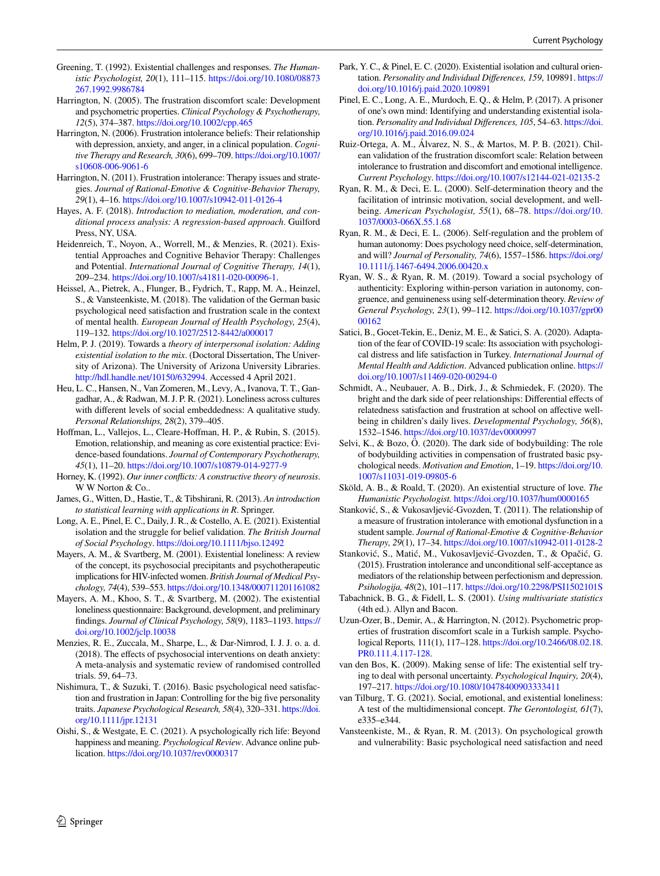- <span id="page-7-1"></span>Greening, T. (1992). Existential challenges and responses. *The Humanistic Psychologist, 20*(1), 111–115. [https://doi.org/10.1080/08873](https://doi.org/10.1080/08873267.1992.9986784) [267.1992.9986784](https://doi.org/10.1080/08873267.1992.9986784)
- <span id="page-7-4"></span>Harrington, N. (2005). The frustration discomfort scale: Development and psychometric properties. *Clinical Psychology & Psychotherapy, 12*(5), 374–387.<https://doi.org/10.1002/cpp.465>
- <span id="page-7-6"></span>Harrington, N. (2006). Frustration intolerance beliefs: Their relationship with depression, anxiety, and anger, in a clinical population. *Cognitive Therapy and Research, 30*(6), 699–709. [https://doi.org/10.1007/](https://doi.org/10.1007/s10608-006-9061-6) [s10608-006-9061-6](https://doi.org/10.1007/s10608-006-9061-6)
- <span id="page-7-5"></span>Harrington, N. (2011). Frustration intolerance: Therapy issues and strategies. *Journal of Rational-Emotive & Cognitive-Behavior Therapy, 29*(1), 4–16. <https://doi.org/10.1007/s10942-011-0126-4>
- <span id="page-7-28"></span>Hayes, A. F. (2018). *Introduction to mediation, moderation, and conditional process analysis: A regression-based approach*. Guilford Press, NY, USA.
- <span id="page-7-34"></span>Heidenreich, T., Noyon, A., Worrell, M., & Menzies, R. (2021). Existential Approaches and Cognitive Behavior Therapy: Challenges and Potential. *International Journal of Cognitive Therapy, 14*(1), 209–234.<https://doi.org/10.1007/s41811-020-00096-1>.
- <span id="page-7-13"></span>Heissel, A., Pietrek, A., Flunger, B., Fydrich, T., Rapp, M. A., Heinzel, S., & Vansteenkiste, M. (2018). The validation of the German basic psychological need satisfaction and frustration scale in the context of mental health. *European Journal of Health Psychology, 25*(4), 119–132.<https://doi.org/10.1027/2512-8442/a000017>
- <span id="page-7-22"></span>Helm, P. J. (2019). Towards a *theory of interpersonal isolation: Adding existential isolation to the mix*. (Doctoral Dissertation, The University of Arizona). The University of Arizona University Libraries. <http://hdl.handle.net/10150/632994>. Accessed 4 April 2021.
- <span id="page-7-24"></span>Heu, L. C., Hansen, N., Van Zomeren, M., Levy, A., Ivanova, T. T., Gangadhar, A., & Radwan, M. J. P. R. (2021). Loneliness across cultures with diferent levels of social embeddedness: A qualitative study. *Personal Relationships, 28*(2), 379–405.
- <span id="page-7-20"></span>Hofman, L., Vallejos, L., Cleare-Hofman, H. P., & Rubin, S. (2015). Emotion, relationship, and meaning as core existential practice: Evidence-based foundations. *Journal of Contemporary Psychotherapy, 45*(1), 11–20.<https://doi.org/10.1007/s10879-014-9277-9>
- <span id="page-7-32"></span>Horney, K. (1992). *Our inner conficts: A constructive theory of neurosis*. W W Norton & Co..
- <span id="page-7-29"></span>James, G., Witten, D., Hastie, T., & Tibshirani, R. (2013). *An introduction to statistical learning with applications in R*. Springer.
- <span id="page-7-18"></span>Long, A. E., Pinel, E. C., Daily, J. R., & Costello, A. E. (2021). Existential isolation and the struggle for belief validation. *The British Journal of Social Psychology*.<https://doi.org/10.1111/bjso.12492>
- <span id="page-7-2"></span>Mayers, A. M., & Svartberg, M. (2001). Existential loneliness: A review of the concept, its psychosocial precipitants and psychotherapeutic implications for HIV-infected women. *British Journal of Medical Psychology, 74*(4), 539–553.<https://doi.org/10.1348/000711201161082>
- <span id="page-7-26"></span>Mayers, A. M., Khoo, S. T., & Svartberg, M. (2002). The existential loneliness questionnaire: Background, development, and preliminary fndings. *Journal of Clinical Psychology, 58*(9), 1183–1193. [https://](https://doi.org/10.1002/jclp.10038) [doi.org/10.1002/jclp.10038](https://doi.org/10.1002/jclp.10038)
- <span id="page-7-33"></span>Menzies, R. E., Zuccala, M., Sharpe, L., & Dar-Nimrod, I. J. J. o. a. d. (2018). The efects of psychosocial interventions on death anxiety: A meta-analysis and systematic review of randomised controlled trials. 59, 64–73.
- <span id="page-7-14"></span>Nishimura, T., & Suzuki, T. (2016). Basic psychological need satisfaction and frustration in Japan: Controlling for the big five personality traits. *Japanese Psychological Research, 58*(4), 320–331. [https://doi.](https://doi.org/10.1111/jpr.12131) [org/10.1111/jpr.12131](https://doi.org/10.1111/jpr.12131)
- <span id="page-7-21"></span>Oishi, S., & Westgate, E. C. (2021). A psychologically rich life: Beyond happiness and meaning. *Psychological Review*. Advance online publication.<https://doi.org/10.1037/rev0000317>
- <span id="page-7-16"></span>Park, Y. C., & Pinel, E. C. (2020). Existential isolation and cultural orientation. *Personality and Individual Diferences, 159*, 109891. [https://](https://doi.org/10.1016/j.paid.2020.109891) [doi.org/10.1016/j.paid.2020.109891](https://doi.org/10.1016/j.paid.2020.109891)
- <span id="page-7-3"></span>Pinel, E. C., Long, A. E., Murdoch, E. Q., & Helm, P. (2017). A prisoner of one's own mind: Identifying and understanding existential isolation. *Personality and Individual Diferences, 105*, 54–63. [https://doi.](https://doi.org/10.1016/j.paid.2016.09.024) [org/10.1016/j.paid.2016.09.024](https://doi.org/10.1016/j.paid.2016.09.024)
- <span id="page-7-19"></span>Ruiz-Ortega, A. M., Álvarez, N. S., & Martos, M. P. B. (2021). Chilean validation of the frustration discomfort scale: Relation between intolerance to frustration and discomfort and emotional intelligence. *Current Psychology*.<https://doi.org/10.1007/s12144-021-02135-2>
- <span id="page-7-10"></span>Ryan, R. M., & Deci, E. L. (2000). Self-determination theory and the facilitation of intrinsic motivation, social development, and wellbeing. *American Psychologist, 55*(1), 68–78. [https://doi.org/10.](https://doi.org/10.1037/0003-066X.55.1.68) [1037/0003-066X.55.1.68](https://doi.org/10.1037/0003-066X.55.1.68)
- <span id="page-7-12"></span>Ryan, R. M., & Deci, E. L. (2006). Self-regulation and the problem of human autonomy: Does psychology need choice, self-determination, and will? *Journal of Personality, 74*(6), 1557–1586. [https://doi.org/](https://doi.org/10.1111/j.1467-6494.2006.00420.x) [10.1111/j.1467-6494.2006.00420.x](https://doi.org/10.1111/j.1467-6494.2006.00420.x)
- <span id="page-7-17"></span>Ryan, W. S., & Ryan, R. M. (2019). Toward a social psychology of authenticity: Exploring within-person variation in autonomy, congruence, and genuineness using self-determination theory. *Review of General Psychology, 23*(1), 99–112. [https://doi.org/10.1037/gpr00](https://doi.org/10.1037/gpr0000162) [00162](https://doi.org/10.1037/gpr0000162)
- <span id="page-7-27"></span>Satici, B., Gocet-Tekin, E., Deniz, M. E., & Satici, S. A. (2020). Adaptation of the fear of COVID-19 scale: Its association with psychological distress and life satisfaction in Turkey. *International Journal of Mental Health and Addiction*. Advanced publication online. [https://](https://doi.org/10.1007/s11469-020-00294-0) [doi.org/10.1007/s11469-020-00294-0](https://doi.org/10.1007/s11469-020-00294-0)
- <span id="page-7-15"></span>Schmidt, A., Neubauer, A. B., Dirk, J., & Schmiedek, F. (2020). The bright and the dark side of peer relationships: Diferential efects of relatedness satisfaction and frustration at school on afective wellbeing in children's daily lives. *Developmental Psychology, 56*(8), 1532–1546. <https://doi.org/10.1037/dev0000997>
- <span id="page-7-25"></span>Selvi, K., & Bozo, Ö. (2020). The dark side of bodybuilding: The role of bodybuilding activities in compensation of frustrated basic psychological needs. *Motivation and Emotion*, 1–19. [https://doi.org/10.](https://doi.org/10.1007/s11031-019-09805-6) [1007/s11031-019-09805-6](https://doi.org/10.1007/s11031-019-09805-6)
- <span id="page-7-0"></span>Sköld, A. B., & Roald, T. (2020). An existential structure of love. *The Humanistic Psychologist.* <https://doi.org/10.1037/hum0000165>
- <span id="page-7-9"></span>Stanković, S., & Vukosavljević-Gvozden, T. (2011). The relationship of a measure of frustration intolerance with emotional dysfunction in a student sample. *Journal of Rational-Emotive & Cognitive-Behavior Therapy, 29*(1), 17–34.<https://doi.org/10.1007/s10942-011-0128-2>
- <span id="page-7-7"></span>Stanković, S., Matić, M., Vukosavljević-Gvozden, T., & Opačić, G. (2015). Frustration intolerance and unconditional self-acceptance as mediators of the relationship between perfectionism and depression. *Psihologija, 48*(2), 101–117.<https://doi.org/10.2298/PSI1502101S>
- <span id="page-7-30"></span>Tabachnick, B. G., & Fidell, L. S. (2001). *Using multivariate statistics* (4th ed.). Allyn and Bacon.
- <span id="page-7-8"></span>Uzun-Ozer, B., Demir, A., & Harrington, N. (2012). Psychometric properties of frustration discomfort scale in a Turkish sample. Psychological Reports*,* 111(1), 117–128. [https://doi.org/10.2466/08.02.18.](https://doi.org/10.2466/08.02.18.PR0.111.4.117-128) [PR0.111.4.117-128](https://doi.org/10.2466/08.02.18.PR0.111.4.117-128).
- <span id="page-7-31"></span>van den Bos, K. (2009). Making sense of life: The existential self trying to deal with personal uncertainty. *Psychological Inquiry, 20*(4), 197–217.<https://doi.org/10.1080/10478400903333411>
- <span id="page-7-23"></span>van Tilburg, T. G. (2021). Social, emotional, and existential loneliness: A test of the multidimensional concept. *The Gerontologist, 61*(7), e335–e344.
- <span id="page-7-11"></span>Vansteenkiste, M., & Ryan, R. M. (2013). On psychological growth and vulnerability: Basic psychological need satisfaction and need